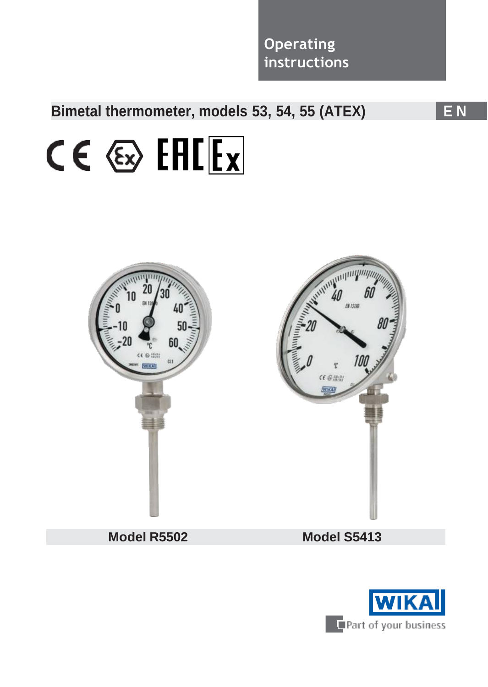**Operating instructions**

**Bimetal thermometer, models 53, 54, 55 (ATEX) E N**

# $CE \otimes HIEx$



**Model R5502 Model S5413**

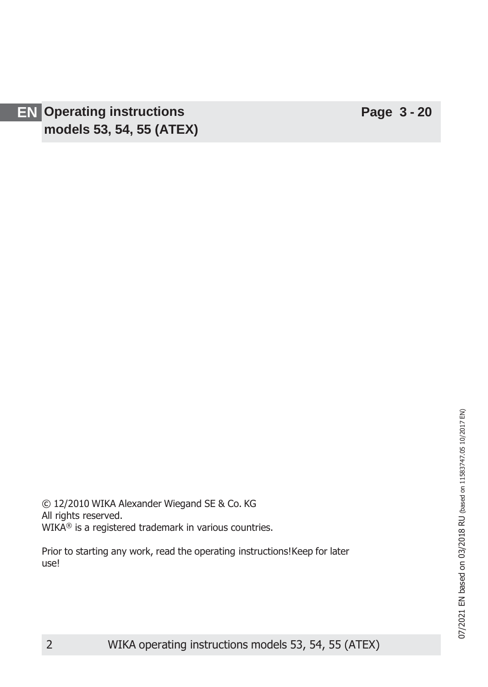**EN Operating instructions models 53, 54, 55 (ATEX)** **Page 3 - 20**

© 12/2010 WIKA Alexander Wiegand SE & Co. KG All rights reserved. WIKA® is a registered trademark in various countries.

Prior to starting any work, read the operating instructions!Keep for later use!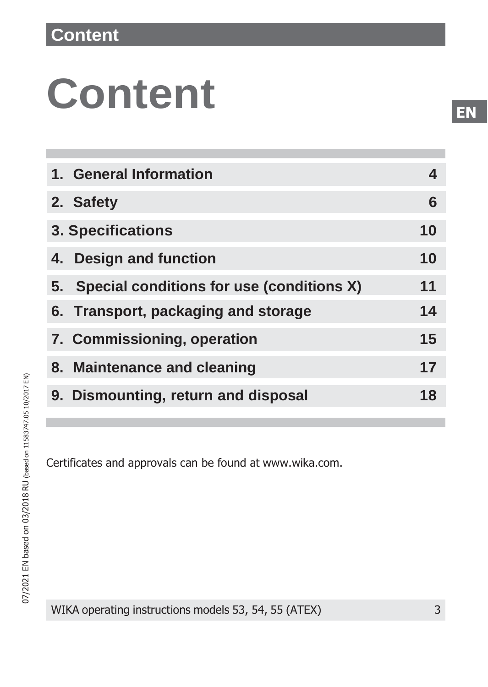# **Content**

| 1. General Information<br>2. Safety<br>3. Specifications<br>4. Design and function<br>5. Special conditions for use (conditions X)<br>6. Transport, packaging and storage<br>7. Commissioning, operation<br>8. Maintenance and cleaning<br>9. Dismounting, return and disposal |  |    |
|--------------------------------------------------------------------------------------------------------------------------------------------------------------------------------------------------------------------------------------------------------------------------------|--|----|
|                                                                                                                                                                                                                                                                                |  | 4  |
|                                                                                                                                                                                                                                                                                |  | 6  |
|                                                                                                                                                                                                                                                                                |  | 10 |
|                                                                                                                                                                                                                                                                                |  | 10 |
|                                                                                                                                                                                                                                                                                |  | 11 |
|                                                                                                                                                                                                                                                                                |  | 14 |
|                                                                                                                                                                                                                                                                                |  | 15 |
|                                                                                                                                                                                                                                                                                |  | 17 |
|                                                                                                                                                                                                                                                                                |  | 18 |

Certificates and approvals can be found at [www.wika.com.](http://www.wika.com/)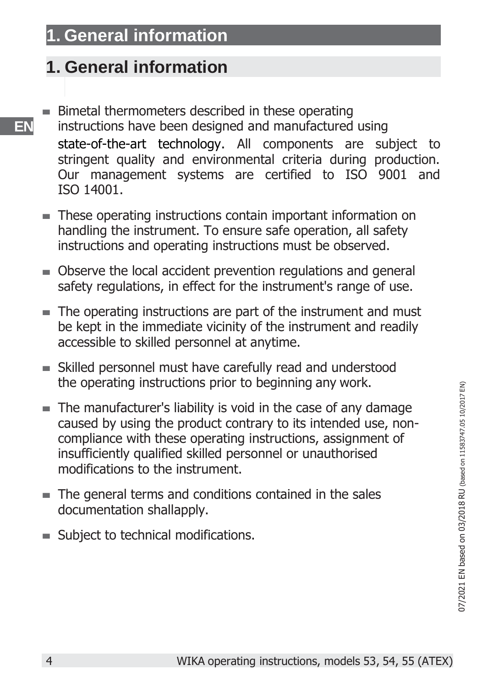## **1. General information**

- Bimetal thermometers described in these operating **EN** instructions have been designed and manufactured using state-of-the-art technology. All components are subject to stringent quality and environmental criteria during production. Our management systems are certified to ISO 9001 and ISO 14001.
	- These operating instructions contain important information on handling the instrument. To ensure safe operation, all safety instructions and operating instructions must be observed.
	- $\blacksquare$  Observe the local accident prevention regulations and general safety regulations, in effect for the instrument's range of use.
	- $\blacksquare$  The operating instructions are part of the instrument and must be kept in the immediate vicinity of the instrument and readily accessible to skilled personnel at anytime.
	- Skilled personnel must have carefully read and understood the operating instructions prior to beginning any work.
	- $\blacksquare$  The manufacturer's liability is void in the case of any damage caused by using the product contrary to its intended use, noncompliance with these operating instructions, assignment of insufficiently qualified skilled personnel or unauthorised modifications to the instrument.
	- $\blacksquare$  The general terms and conditions contained in the sales documentation shallapply.
	- Subject to technical modifications.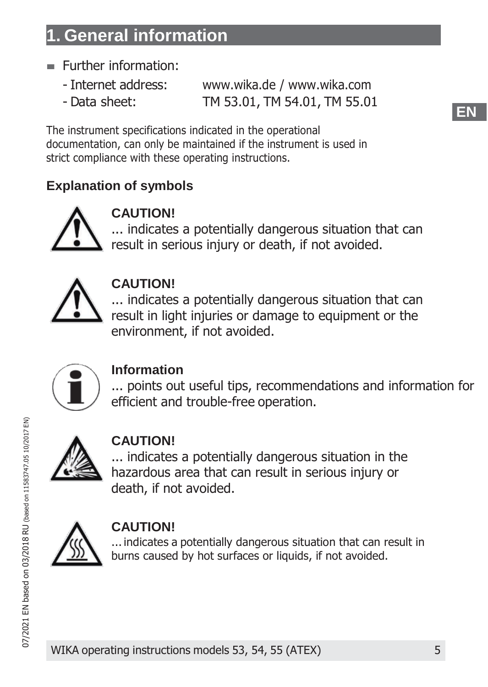## **1. General information**

- Further information:
	- Internet address: [www.wika.de](http://www.wika.de/) / [www.wika.com](http://www.wika.com/)
	- Data sheet: TM 53.01, TM 54.01, TM 55.01

The instrument specifications indicated in the operational documentation, can only be maintained if the instrument is used in strict compliance with these operating instructions.

## **Explanation of symbols**



#### **CAUTION!**

... indicates a potentially dangerous situation that can result in serious injury or death, if not avoided.



## **CAUTION!**

... indicates a potentially dangerous situation that can result in light injuries or damage to equipment or the environment, if not avoided.



## **Information**

... points out useful tips, recommendations and information for efficient and trouble-free operation.



## **CAUTION!**

... indicates a potentially dangerous situation in the hazardous area that can result in serious injury or death, if not avoided.



#### **CAUTION!**

... indicates a potentially dangerous situation that can result in burns caused by hot surfaces or liquids, if not avoided.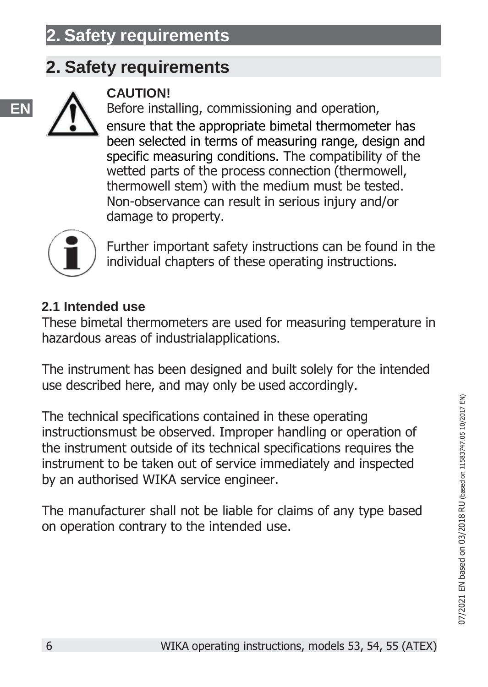

#### **CAUTION!**

**EN 6** Before installing, commissioning and operation,

ensure that the appropriate bimetal thermometer has been selected in terms of measuring range, design and specific measuring conditions. The compatibility of the wetted parts of the process connection (thermowell, thermowell stem) with the medium must be tested. Non-observance can result in serious injury and/or damage to property.



Further important safety instructions can be found in the individual chapters of these operating instructions.

## **2.1 Intended use**

These bimetal thermometers are used for measuring temperature in hazardous areas of industrialapplications.

The instrument has been designed and built solely for the intended use described here, and may only be used accordingly.

The technical specifications contained in these operating instructionsmust be observed. Improper handling or operation of the instrument outside of its technical specifications requires the instrument to be taken out of service immediately and inspected by an authorised WIKA service engineer.

The manufacturer shall not be liable for claims of any type based on operation contrary to the intended use.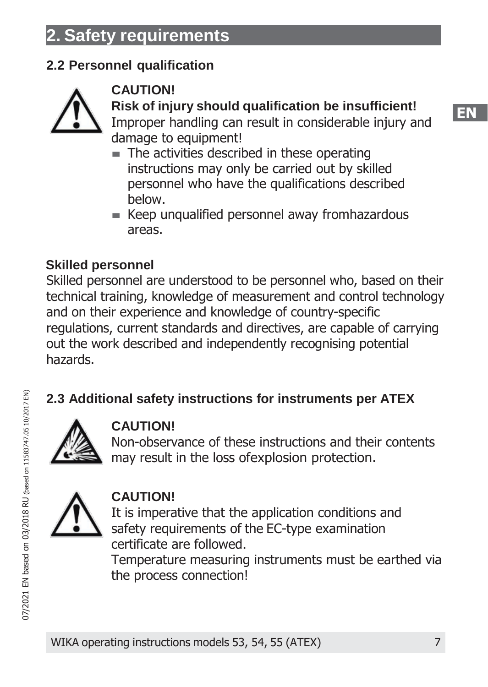## **2.2 Personnel qualification**



#### **CAUTION!**

**Risk of injury should qualification be insufficient!** Improper handling can result in considerable injury and damage to equipment!

- $\blacksquare$  The activities described in these operating instructions may only be carried out by skilled personnel who have the qualifications described below.
- Keep unqualified personnel away fromhazardous areas.

#### **Skilled personnel**

Skilled personnel are understood to be personnel who, based on their technical training, knowledge of measurement and control technology and on their experience and knowledge of country-specific regulations, current standards and directives, are capable of carrying out the work described and independently recognising potential hazards.

## **2.3 Additional safety instructions for instruments per ATEX**



## **CAUTION!**

Non-observance of these instructions and their contents may result in the loss ofexplosion protection.



## **CAUTION!**

It is imperative that the application conditions and safety requirements of the EC-type examination certificate are followed.

Temperature measuring instruments must be earthed via the process connection!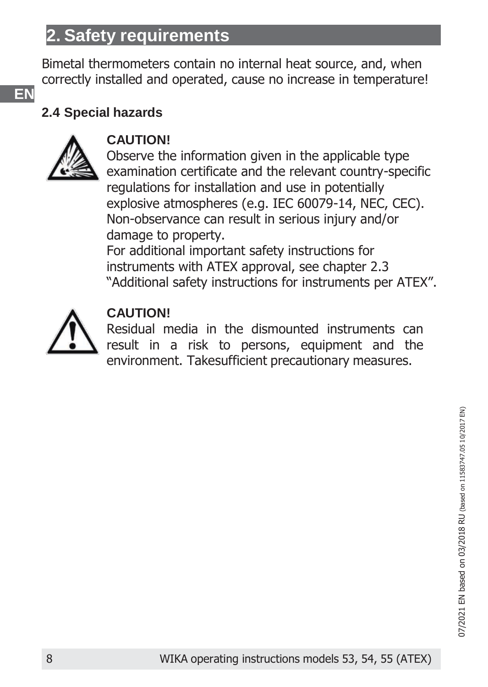Bimetal thermometers contain no internal heat source, and, when correctly installed and operated, cause no increase in temperature!

#### **EN**

## **2.4 Special hazards**



## **CAUTION!**

Observe the information given in the applicable type examination certificate and the relevant country-specific regulations for installation and use in potentially explosive atmospheres (e.g. IEC 60079-14, NEC, CEC). Non-observance can result in serious injury and/or damage to property.

For additional important safety instructions for instruments with ATEX approval, see chapter 2.3 "Additional safety instructions for instruments per ATEX".



## **CAUTION!**

Residual media in the dismounted instruments can result in a risk to persons, equipment and the environment. Takesufficient precautionary measures.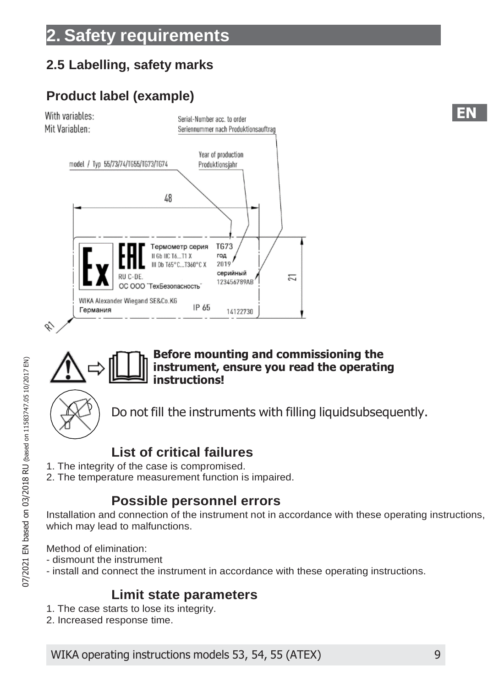## **2.5 Labelling, safety marks**

## **Product label (example)**





**Before mounting and commissioning the instrument, ensure you read the operating instructions!**

Do not fill the instruments with filling liquidsubsequently.

## **List of critical failures**

- 1. The integrity of the case is compromised.
- 2. The temperature measurement function is impaired.

#### **Possible personnel errors**

Installation and connection of the instrument not in accordance with these operating instructions, which may lead to malfunctions.

Method of elimination:

- dismount the instrument
- install and connect the instrument in accordance with these operating instructions.

## **Limit state parameters**

- 1. The case starts to lose its integrity.
- 2. Increased response time.

WIKA operating instructions models 53, 54, 55 (ATEX) 9

**EN**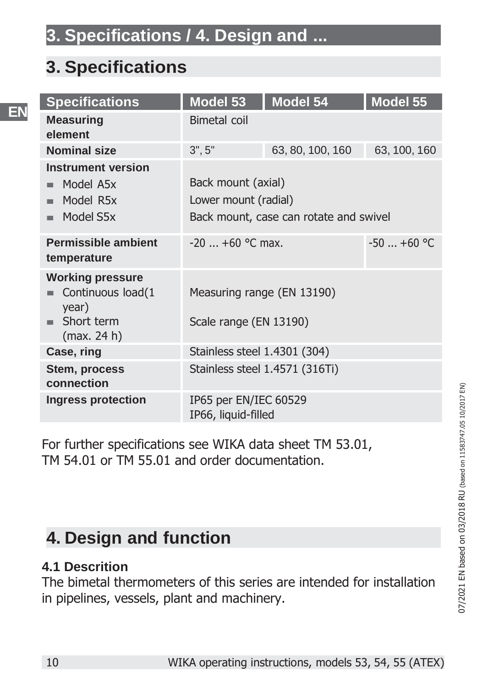# **3. Specifications / 4. Design and ...**

## **3. Specifications**

| <b>Specifications</b>                                                                             | Model 53                                                                             | Model 54         | Model 55     |  |
|---------------------------------------------------------------------------------------------------|--------------------------------------------------------------------------------------|------------------|--------------|--|
| <b>Measuring</b><br>element                                                                       | Bimetal coil                                                                         |                  |              |  |
| <b>Nominal size</b>                                                                               | 3", 5"                                                                               | 63, 80, 100, 160 | 63, 100, 160 |  |
| <b>Instrument version</b><br>Model A5x<br>$\blacksquare$ Model R5x<br>$Model$ S5x                 | Back mount (axial)<br>Lower mount (radial)<br>Back mount, case can rotate and swivel |                  |              |  |
| <b>Permissible ambient</b><br>temperature                                                         | $-20$ $+60$ °C max.                                                                  |                  | $-50+60$ °C  |  |
| <b>Working pressure</b><br>Continuous load(1<br>year)<br>$\blacksquare$ Short term<br>(max. 24 h) | Measuring range (EN 13190)<br>Scale range (EN 13190)                                 |                  |              |  |
| Case, ring                                                                                        | Stainless steel 1.4301 (304)                                                         |                  |              |  |
| Stem, process<br>connection                                                                       | Stainless steel 1.4571 (316Ti)                                                       |                  |              |  |
| Ingress protection                                                                                | IP65 per EN/IEC 60529<br>IP66, liquid-filled                                         |                  |              |  |

For further specifications see WIKA data sheet TM 53.01, TM 54.01 or TM 55.01 and order documentation.

## **4. Design and function**

## **4.1 Descrition**

The bimetal thermometers of this series are intended for installation in pipelines, vessels, plant and machinery.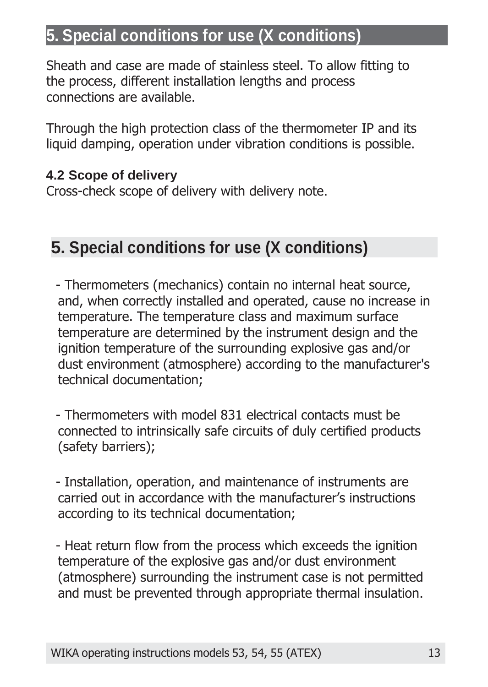## **5. Special conditions for use (X conditions)**

Sheath and case are made of stainless steel. To allow fitting to the process, different installation lengths and process connections are available.

Through the high protection class of the thermometer IP and its liquid damping, operation under vibration conditions is possible.

#### **4.2 Scope of delivery**

Cross-check scope of delivery with delivery note.

## **5. Special conditions for use (X conditions)**

- Thermometers (mechanics) contain no internal heat source, and, when correctly installed and operated, cause no increase in temperature. The temperature class and maximum surface temperature are determined by the instrument design and the ignition temperature of the surrounding explosive gas and/or dust environment (atmosphere) according to the manufacturer's technical documentation;

- Thermometers with model 831 electrical contacts must be connected to intrinsically safe circuits of duly certified products (safety barriers);

- Installation, operation, and maintenance of instruments are carried out in accordance with the manufacturer's instructions according to its technical documentation;

- Heat return flow from the process which exceeds the ignition temperature of the explosive gas and/or dust environment (atmosphere) surrounding the instrument case is not permitted and must be prevented through appropriate thermal insulation.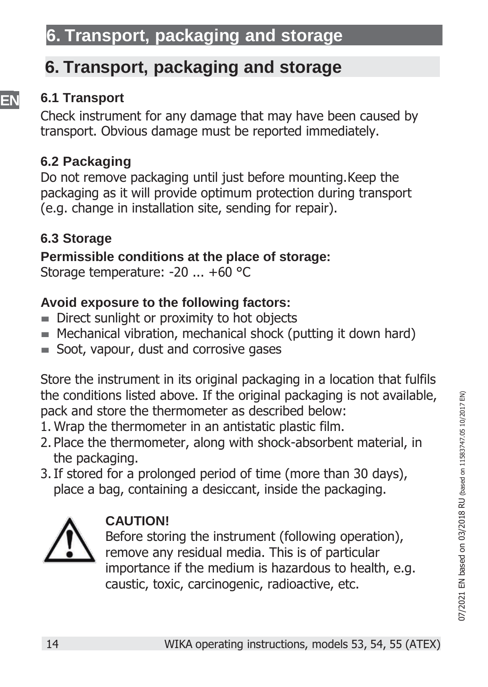# **6. Transport, packaging and storage**

## **6. Transport, packaging and storage**

## **EN 6.1 Transport**

Check instrument for any damage that may have been caused by transport. Obvious damage must be reported immediately.

## **6.2 Packaging**

Do not remove packaging until just before mounting.Keep the packaging as it will provide optimum protection during transport (e.g. change in installation site, sending for repair).

## **6.3 Storage**

**Permissible conditions at the place of storage:**

Storage temperature: -20 ... +60 °C

## **Avoid exposure to the following factors:**

- $\blacksquare$  Direct sunlight or proximity to hot objects
- $=$  Mechanical vibration, mechanical shock (putting it down hard)
- Soot, vapour, dust and corrosive gases

Store the instrument in its original packaging in a location that fulfils the conditions listed above. If the original packaging is not available, pack and store the thermometer as described below:

- 1. Wrap the thermometer in an antistatic plastic film.
- 2. Place the thermometer, along with shock-absorbent material, in the packaging.
- 3.If stored for a prolonged period of time (more than 30 days), place a bag, containing a desiccant, inside the packaging.



## **CAUTION!**

Before storing the instrument (following operation), remove any residual media. This is of particular importance if the medium is hazardous to health, e.g. caustic, toxic, carcinogenic, radioactive, etc.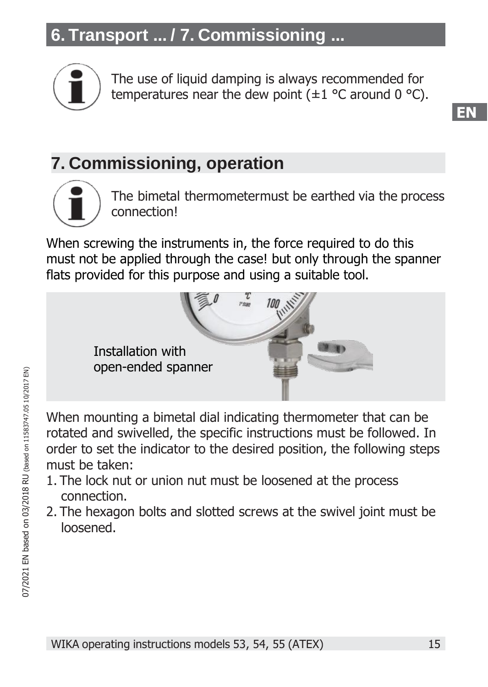

The use of liquid damping is always recommended for temperatures near the dew point  $(\pm 1 \degree C \text{ around } 0 \degree C)$ .

## **7. Commissioning, operation**



The bimetal thermometermust be earthed via the process connection!

When screwing the instruments in, the force required to do this must not be applied through the case! but only through the spanner flats provided for this purpose and using a suitable tool.



When mounting a bimetal dial indicating thermometer that can be rotated and swivelled, the specific instructions must be followed. In order to set the indicator to the desired position, the following steps must be taken:

- 1. The lock nut or union nut must be loosened at the process connection.
- 2. The hexagon bolts and slotted screws at the swivel joint must be loosened.

**EN**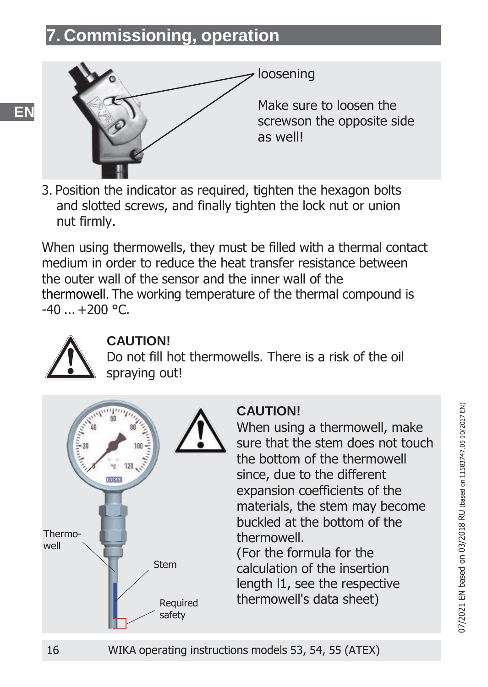## **7. Commissioning, operation**



loosening

Make sure to loosen the screwson the opposite side as well!

3. Position the indicator as required, tighten the hexagon bolts and slotted screws, and finally tighten the lock nut or union nut firmly.

When using thermowells, they must be filled with a thermal contact medium in order to reduce the heat transfer resistance between the outer wall of the sensor and the inner wall of the thermowell. The working temperature of the thermal compound is  $-40 +200$  °C.



**EN**

## **CAUTION!**

Do not fill hot thermowells. There is a risk of the oil spraying out!



## **CAUTION!**

When using a thermowell, make sure that the stem does not touch the bottom of the thermowell since, due to the different expansion coefficients of the materials, the stem may become buckled at the bottom of the thermowell.

(For the formula for the calculation of the insertion length l1, see the respective thermowell's data sheet)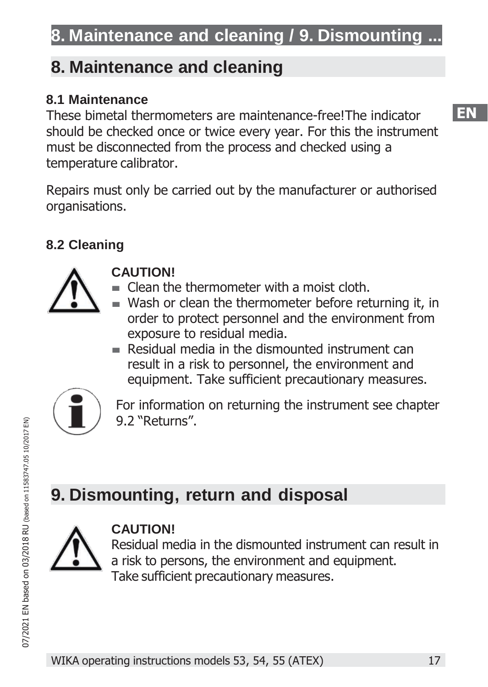# **8. Maintenance and cleaning / 9. Dismounting ...**

## **8. Maintenance and cleaning**

## **8.1 Maintenance**

These bimetal thermometers are maintenance-free!The indicator should be checked once or twice every year. For this the instrument must be disconnected from the process and checked using a temperature calibrator.

Repairs must only be carried out by the manufacturer or authorised organisations.

## **8.2 Cleaning**



- **CAUTION!**
- Clean the thermometer with a moist cloth.
- $=$  Wash or clean the thermometer before returning it, in order to protect personnel and the environment from exposure to residual media.
- Residual media in the dismounted instrument can result in a risk to personnel, the environment and equipment. Take sufficient precautionary measures.



For information on returning the instrument see chapter 9.2 "Returns".

# **9. Dismounting, return and disposal**



## **CAUTION!**

Residual media in the dismounted instrument can result in a risk to persons, the environment and equipment. Take sufficient precautionary measures.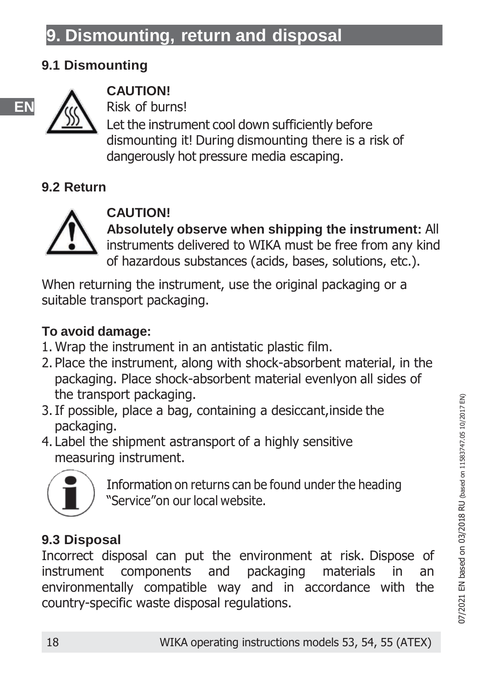## **9. Dismounting, return and disposal**

## **9.1 Dismounting**



## **CAUTION!**

Let the instrument cool down sufficiently before dismounting it! During dismounting there is a risk of dangerously hot pressure media escaping.

**9.2 Return**



## **CAUTION!**

**Absolutely observe when shipping the instrument:** All instruments delivered to WIKA must be free from any kind of hazardous substances (acids, bases, solutions, etc.).

When returning the instrument, use the original packaging or a suitable transport packaging.

## **To avoid damage:**

- 1. Wrap the instrument in an antistatic plastic film.
- 2. Place the instrument, along with shock-absorbent material, in the packaging. Place shock-absorbent material evenlyon all sides of the transport packaging.
- 3.If possible, place a bag, containing a desiccant,inside the packaging.
- 4. Label the shipment astransport of a highly sensitive measuring instrument.



Information on returns can be found under the heading "Service"on our local website.

## **9.3 Disposal**

Incorrect disposal can put the environment at risk. Dispose of instrument components and packaging materials in an environmentally compatible way and in accordance with the country-specific waste disposal regulations.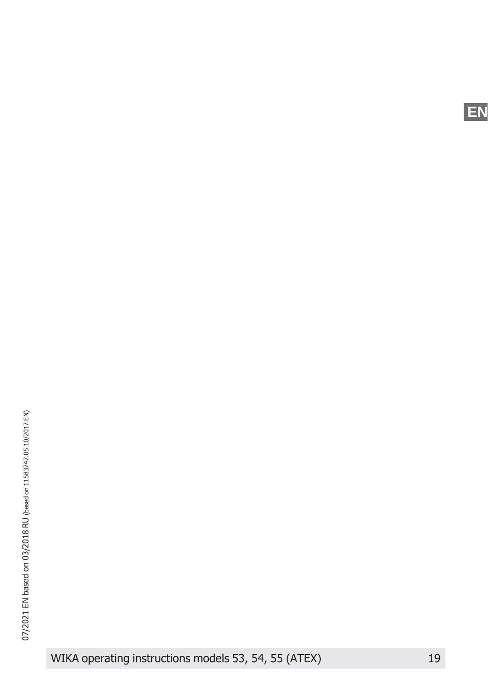**EN**